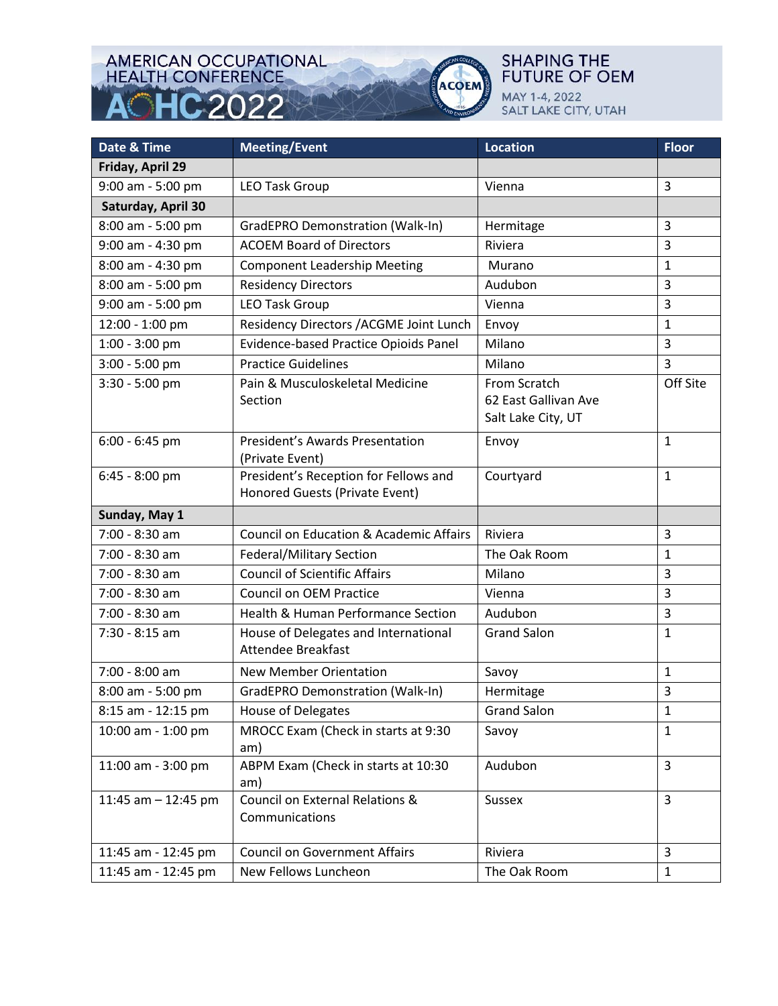### **AMERICAN OCCUPATIONAL HEALTH CONFERENCE** HC 2022



### **Date & Time Meeting/Event Location Reserves Construction** Reserves Application Reserves Reserves Application Reserves Application Reserves Application Reserves Application Reserves Application Reserves Application Reserve **Friday, April 29**  9:00 am - 5:00 pm  $\left|$  LEO Task Group  $\left|$  Vienna  $\right|$  3 **Saturday, April 30** 8:00 am - 5:00 pm  $\left|$  GradEPRO Demonstration (Walk-In)  $\left|$  Hermitage  $\left|$  3 9:00 am - 4:30 pm  $\left\{\right.$  ACOEM Board of Directors  $\left.\right\}$  Riviera  $\left.\right\}$  3 8:00 am - 4:30 pm  $\vert$  Component Leadership Meeting  $\vert$  Murano  $\vert$  1 8:00 am - 5:00 pm Residency Directors Audubon 3 9:00 am - 5:00 pm  $\vert$  LEO Task Group  $\vert$  Vienna  $\vert$  3 12:00 - 1:00 pm Residency Directors /ACGME Joint Lunch Envoy 1 1:00 - 3:00 pm  $\vert$  Evidence-based Practice Opioids Panel | Milano | 3 3:00 - 5:00 pm  $|$  Practice Guidelines  $|$  Milano  $|$  3 3:30 - 5:00 pm Pain & Musculoskeletal Medicine Section From Scratch 62 East Gallivan Ave Salt Lake City, UT Off Site 6:00 - 6:45 pm President's Awards Presentation (Private Event) Envoy 20 | 1 6:45 - 8:00 pm President's Reception for Fellows and Honored Guests (Private Event) Courtyard 1 **Sunday, May 1**  7:00 - 8:30 am  $\vert$  Council on Education & Academic Affairs Riviera  $\vert$  3 7:00 - 8:30 am  $\left| \right|$  Federal/Military Section  $\left| \right|$  The Oak Room  $\left| \right|$  1 7:00 - 8:30 am Council of Scientific Affairs Milano 3 7:00 - 8:30 am  $\big|$  Council on OEM Practice  $\big|$  Vienna  $\big|$  3  $7:00 - 8:30$  am  $\sqrt{\frac{1}{3}}$  Health & Human Performance Section  $\sqrt{\frac{1}{1}}$  Audubon 7:30 - 8:15 am **House of Delegates and International** Attendee Breakfast Grand Salon 1  $7:00 - 8:00$  am  $\vert$  New Member Orientation  $\vert$  Savoy  $\vert$  1 8:00 am - 5:00 pm  $\left|$  GradEPRO Demonstration (Walk-In)  $\left|$  Hermitage  $\left|$  3 8:15 am - 12:15 pm  $\vert$  House of Delegates  $\vert$  Grand Salon  $\vert$  1 10:00 am - 1:00 pm MROCC Exam (Check in starts at 9:30 am) Savov and 1 11:00 am - 3:00 pm  $\parallel$  ABPM Exam (Check in starts at 10:30 am) Audubon 3 11:45 am - 12:45 pm | Council on External Relations & Communications Sussex 3 11:45 am - 12:45 pm  $\left|$  Council on Government Affairs Riviera Riviera  $\left|$  3 11:45 am - 12:45 pm  $\left|$  New Fellows Luncheon  $\left|$  The Oak Room  $\left|$  1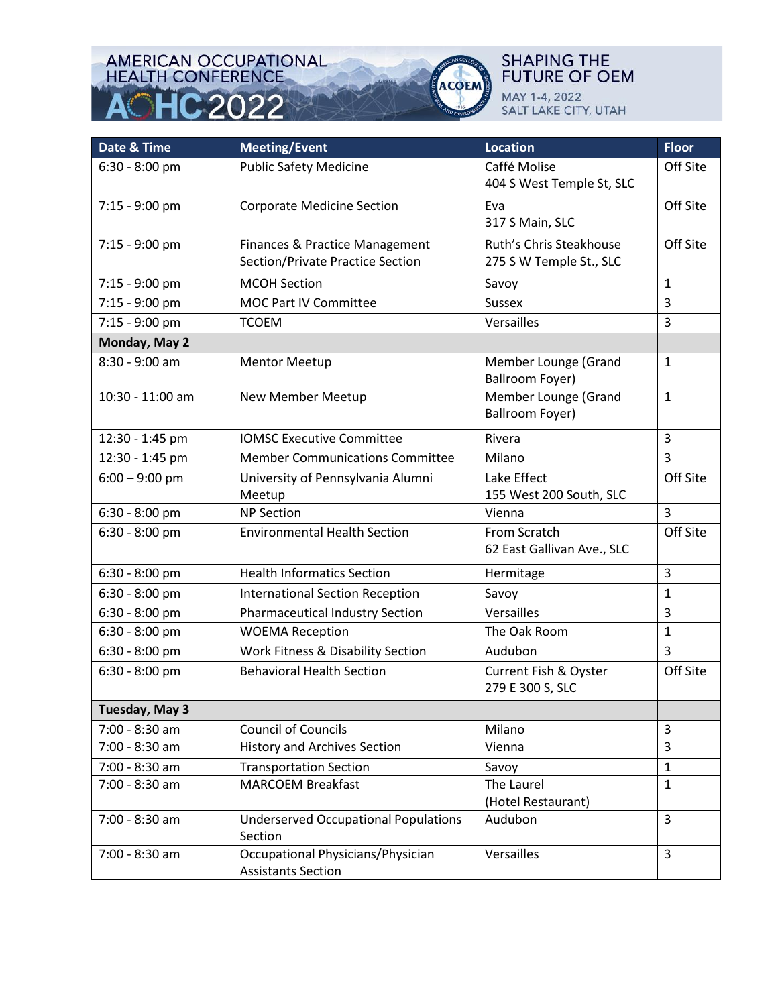# AMERICAN OCCUPATIONAL<br>HEALTH CONFERENCE HC 2022 Δ



| Date & Time      | <b>Meeting/Event</b>                                           | <b>Location</b>                         | <b>Floor</b>   |
|------------------|----------------------------------------------------------------|-----------------------------------------|----------------|
| $6:30 - 8:00$ pm | <b>Public Safety Medicine</b>                                  | Caffé Molise                            | Off Site       |
|                  |                                                                | 404 S West Temple St, SLC               |                |
| 7:15 - 9:00 pm   | <b>Corporate Medicine Section</b>                              | Eva                                     | Off Site       |
|                  |                                                                | 317 S Main, SLC                         |                |
| 7:15 - 9:00 pm   | Finances & Practice Management                                 | Ruth's Chris Steakhouse                 | Off Site       |
|                  | Section/Private Practice Section                               | 275 S W Temple St., SLC                 |                |
| 7:15 - 9:00 pm   | <b>MCOH Section</b>                                            | Savoy                                   | $\mathbf{1}$   |
| 7:15 - 9:00 pm   | MOC Part IV Committee                                          | <b>Sussex</b>                           | 3              |
| 7:15 - 9:00 pm   | <b>TCOEM</b>                                                   | Versailles                              | 3              |
| Monday, May 2    |                                                                |                                         |                |
| 8:30 - 9:00 am   | <b>Mentor Meetup</b>                                           | Member Lounge (Grand<br>Ballroom Foyer) | $\mathbf{1}$   |
| 10:30 - 11:00 am | New Member Meetup                                              | Member Lounge (Grand                    | $\mathbf{1}$   |
|                  |                                                                | <b>Ballroom Foyer)</b>                  |                |
| 12:30 - 1:45 pm  | <b>IOMSC Executive Committee</b>                               | Rivera                                  | 3              |
| 12:30 - 1:45 pm  | <b>Member Communications Committee</b>                         | Milano                                  | $\overline{3}$ |
| $6:00 - 9:00$ pm | University of Pennsylvania Alumni                              | Lake Effect                             | Off Site       |
|                  | Meetup                                                         | 155 West 200 South, SLC                 |                |
| 6:30 - 8:00 pm   | <b>NP Section</b>                                              | Vienna                                  | 3              |
| $6:30 - 8:00$ pm | <b>Environmental Health Section</b>                            | From Scratch                            | Off Site       |
|                  |                                                                | 62 East Gallivan Ave., SLC              |                |
| $6:30 - 8:00$ pm | <b>Health Informatics Section</b>                              | Hermitage                               | 3              |
| 6:30 - 8:00 pm   | <b>International Section Reception</b>                         | Savoy                                   | $\mathbf{1}$   |
| $6:30 - 8:00$ pm | <b>Pharmaceutical Industry Section</b>                         | Versailles                              | 3              |
| 6:30 - 8:00 pm   | <b>WOEMA Reception</b>                                         | The Oak Room                            | $\mathbf{1}$   |
| $6:30 - 8:00$ pm | Work Fitness & Disability Section                              | Audubon                                 | 3              |
| $6:30 - 8:00$ pm | <b>Behavioral Health Section</b>                               | <b>Current Fish &amp; Oyster</b>        | Off Site       |
|                  |                                                                | 279 E 300 S, SLC                        |                |
| Tuesday, May 3   |                                                                |                                         |                |
| 7:00 - 8:30 am   | <b>Council of Councils</b>                                     | Milano                                  | 3              |
| 7:00 - 8:30 am   | <b>History and Archives Section</b>                            | Vienna                                  | 3              |
| 7:00 - 8:30 am   | <b>Transportation Section</b>                                  | Savoy                                   | $\mathbf{1}$   |
| 7:00 - 8:30 am   | <b>MARCOEM Breakfast</b>                                       | The Laurel<br>(Hotel Restaurant)        | $\mathbf 1$    |
| 7:00 - 8:30 am   | <b>Underserved Occupational Populations</b><br>Section         | Audubon                                 | $\overline{3}$ |
| 7:00 - 8:30 am   | Occupational Physicians/Physician<br><b>Assistants Section</b> | Versailles                              | 3              |